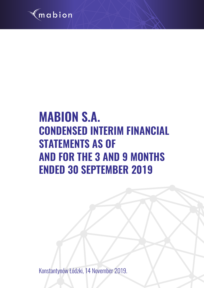

# **MABION S.A. CONDENSED INTERIM FINANCIAL STATEMENTS AS OF AND FOR THE 3 AND 9 MONTHS ENDED 30 SEPTEMBER 2019**

Konstantynów Łódzki, 14 November 2019.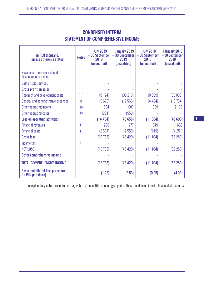| in PLN thousand,<br>unless otherwise stated                   |     | 1 July 2019<br>- 30 September<br>2019<br>(unaudited) | 1 January 2019<br>-30 September<br>2019<br>(unaudited) | <b>1 July 2018</b><br>- 30 September<br>2018<br>(unaudited) | 1 January 2018<br>- 30 September<br>2018<br>(unaudited) |
|---------------------------------------------------------------|-----|------------------------------------------------------|--------------------------------------------------------|-------------------------------------------------------------|---------------------------------------------------------|
| Revenues from research and<br>development services            |     |                                                      |                                                        |                                                             |                                                         |
| Cost of sold services                                         |     | ÷,                                                   |                                                        | ÷,                                                          |                                                         |
| <b>Gross profit on sales</b>                                  |     | ÷                                                    | ٠                                                      | $\overline{\phantom{a}}$                                    |                                                         |
| <b>Research and development costs</b>                         | 8,9 | (9124)                                               | (30218)                                                | (8309)                                                      | (35039)                                                 |
| General and administrative expenses                           | 8   | (5673)                                               | (17566)                                                | (4424)                                                      | (15784)                                                 |
| Other operating income                                        | 10  | 594                                                  | 1687                                                   | 929                                                         | 2 1 3 0                                                 |
| Other operating costs                                         | 10  | (201)                                                | (559)                                                  |                                                             |                                                         |
| <b>Loss on operating activities</b>                           |     | (14404)                                              | (46656)                                                | (11804)                                                     | (48693)                                                 |
| <b>Financial revenues</b>                                     | 11  | 238                                                  | 777                                                    | 849                                                         | 658                                                     |
| <b>Financial costs</b>                                        | 11  | (2567)                                               | (2550)                                                 | (149)                                                       | (4251)                                                  |
| <b>Gross loss</b>                                             |     | (16733)                                              | (48429)                                                | (11104)                                                     | (52 286)                                                |
| Income tax                                                    | 21  |                                                      |                                                        |                                                             |                                                         |
| <b>NET LOSS</b>                                               |     | (16733)                                              | (48429)                                                | (11104)                                                     | (52 286)                                                |
| Other comprehensive income                                    |     |                                                      |                                                        |                                                             |                                                         |
| <b>TOTAL COMPREHENSIVE INCOME</b>                             |     | (16733)                                              | (48429)                                                | (11104)                                                     | (52 286)                                                |
| <b>Basic and diluted loss per share</b><br>(in PLN per share) |     | (1.22)                                               | (3.53)                                                 | (0.95)                                                      | (4.06)                                                  |

# CONDENSED INTERIM STATEMENT OF COMPREHENSIVE INCOME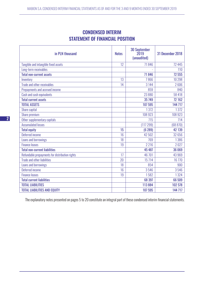# CONDENSED INTERIM STATEMENT OF FINANCIAL POSITION

| in PLN thousand                                | <b>Notes</b> | <b>30 September</b><br>2019<br>(unaudited) | 31 December 2018 |
|------------------------------------------------|--------------|--------------------------------------------|------------------|
| Tangible and intangible fixed assets           | 12           | 71846                                      | 72 445           |
| Long-term receivables                          |              |                                            | 110              |
| <b>Total non-current assets</b>                |              | 71846                                      | 72 555           |
| Inventory                                      | 13           | 7866                                       | 10 298           |
| Trade and other receivables                    | 14           | 3 1 4 4                                    | 2606             |
| Prepayments and accrued income                 |              | 859                                        | 840              |
| Cash and cash equivalents                      |              | 23 8 8 0                                   | 58 418           |
| <b>Total current assets</b>                    |              | 35 749                                     | 72 162           |
| <b>TOTAL ASSETS</b>                            |              | 107 595                                    | 144 717          |
| Share capital                                  |              | 1372                                       | 1372             |
| Share premium                                  |              | 108 923                                    | 108 923          |
| Other supplementary capitals                   |              | 715                                        | 714              |
| <b>Accumulated losses</b>                      |              | (117299)                                   | (68 870)         |
| <b>Total equity</b>                            | 15           | (6289)                                     | 42 139           |
| Deferred income                                | 16           | 42 502                                     | 32 656           |
| Loans and borrowings                           | 18           | 769                                        | 1386             |
| <b>Finance leases</b>                          | 19           | 2216                                       | 2027             |
| <b>Total non-current liabilities</b>           |              | 45 487                                     | 36 069           |
| Refundable prepayments for distribution rights | 17           | 46 701                                     | 43 969           |
| <b>Trade and other liabilities</b>             | 20           | 15 7 14                                    | 16 770           |
| Loans and borrowings                           | 18           | 854                                        | 900              |
| Deferred income                                | 16           | 3546                                       | 3546             |
| <b>Finance leases</b>                          | 19           | 1582                                       | 1324             |
| <b>Total current liabilities</b>               |              | 68 397                                     | 66 509           |
| <b>TOTAL LIABILITIES</b>                       |              | 113884                                     | 102 578          |
| <b>TOTAL LIABILITIES AND EQUITY</b>            |              | 107 595                                    | 144 717          |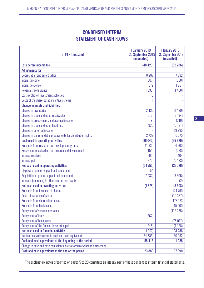# CONDENSED INTERIM STATEMENT OF CASH FLOWS

| in PLN thousand                                                         | <b>1 January 2019</b><br>(unaudited) | <b>1 January 2018</b><br>30 September 2019 $ -30$ September 2018<br>(unaudited) |
|-------------------------------------------------------------------------|--------------------------------------|---------------------------------------------------------------------------------|
| Loss before income tax                                                  | (48 429)                             | (52 286)                                                                        |
| <b>Adjustments for:</b>                                                 |                                      |                                                                                 |
| Depreciation and amortisation                                           | 8 2 8 7                              | 7832                                                                            |
| Interest income                                                         | (507)                                | (658)                                                                           |
| Interest expense                                                        | 372                                  | 1931                                                                            |
| <b>Revenues from grants</b>                                             | (1335)                               | (1468)                                                                          |
| Loss (profit) on investment activities                                  | 15                                   |                                                                                 |
| Costs of the share-based incentive scheme                               |                                      |                                                                                 |
| <b>Change in assets and liabilities:</b>                                |                                      |                                                                                 |
| <b>Change in inventories</b>                                            | 2 4 3 3                              | (2420)                                                                          |
| Change in trade and other receivables                                   | (512)                                | (3194)                                                                          |
| Change in prepayments and accrued income                                | (19)                                 | (216)                                                                           |
| Change in trade and other liabilities                                   | 920                                  | (5721)                                                                          |
| Change in deferred income                                               |                                      | 13995                                                                           |
| Change in the refundable prepayments for distribution rights            | 2 7 3 2                              | 6575                                                                            |
| <b>Cash used in operating activities</b>                                | (36042)                              | (35629)                                                                         |
| Proceeds from research and development grants                           | 11 3 35                              | 4 900                                                                           |
| Repayment of subsidies for research and development                     | (154)                                | (228)                                                                           |
| Interest received                                                       | 480                                  | 404                                                                             |
| Interest paid                                                           | (372)                                | (2173)                                                                          |
| Net cash used in operating activities                                   | (24753)                              | (32726)                                                                         |
| Disposal of property, plant and equipment                               | 54                                   |                                                                                 |
| Acquisition of property, plant and equipment                            | (7932)                               | (3606)                                                                          |
| Increase (decrease) in other non-current assets                         |                                      | (2)                                                                             |
| Net cash used in investing activities                                   | (7878)                               | (3608)                                                                          |
| Proceeds from issuance of shares                                        | ÷,                                   | 174 790                                                                         |
| Costs of issuance of shares                                             | ÷,                                   | (10337)                                                                         |
| Proceeds from shareholder loans                                         | ۳                                    | 178 773                                                                         |
| <b>Proceeds from bank loans</b>                                         |                                      | 15 000                                                                          |
| Repayment of shareholder loans                                          |                                      | (17875)                                                                         |
| <b>Repayment of loans</b>                                               | (662)                                |                                                                                 |
| Repayment of bank loans                                                 |                                      | (75017)                                                                         |
| Repayment of the finance lease principal                                | (1245)                               | (1168)                                                                          |
| Net cash used in financial activities                                   | (1907)                               | 103 286                                                                         |
| Net increase/(decrease) in cash and cash equivalents                    | (34538)                              | 66 952                                                                          |
| Cash and cash equivalents at the beginning of the period                | 58 418                               | 1038                                                                            |
| Change in cash and cash equivalents due to foreign exchange differences |                                      |                                                                                 |
| Cash and cash equivalents at the end of the period                      | 23880                                | 67990                                                                           |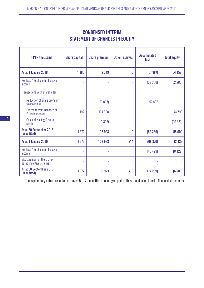| <b>CONDENSED INTERIM</b>              |  |  |  |  |  |  |  |
|---------------------------------------|--|--|--|--|--|--|--|
| <b>STATEMENT OF CHANGES IN EQUITY</b> |  |  |  |  |  |  |  |

| in PLN thousand                                     | <b>Share capital</b> | <b>Share premium</b> | Other reserves | <b>Accumulated</b><br>loss | <b>Total equity</b> |
|-----------------------------------------------------|----------------------|----------------------|----------------|----------------------------|---------------------|
| As at 1 January 2018                                | 1 1 8 0              | 2549                 | 0              | (57 887)                   | (54158)             |
| Net loss / total comprehensive<br>income            |                      | L.                   | L              | (52 286)                   | (52 286)            |
| Transactions with shareholders:                     |                      |                      |                |                            |                     |
| Reduction of share premium<br>to cover loss         |                      | (57887)              |                | 57887                      |                     |
| Proceeds from issuance of<br>P- series shares       | 192                  | 174 598              | L.             | $\sim$                     | 174 790             |
| <b>Costs of issuing P-series</b><br>shares          |                      | (10337)              | L              | ÷,                         | (10337)             |
| As at 30 September 2018<br>(unaudited)              | 1 3 7 2              | 108 923              | 0              | (52 286)                   | 58 009              |
| As at 1 January 2019                                | 1 3 7 2              | 108 923              | 714            | (68 870)                   | 42 139              |
| Net loss / total comprehensive<br>income            | L.                   | ä,                   |                | (48429)                    | (48429)             |
| Measurement of the share-<br>based incentive scheme | L.                   | ÷,                   | 1              |                            |                     |
| As at 30 September 2019<br>(unaudited)              | 1 3 7 2              | 108 923              | 715            | (117299)                   | (6 289)             |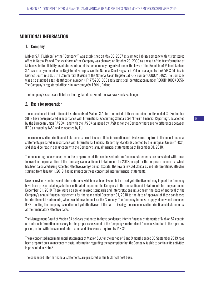# ADDITIONAL INFORMATION

#### 1. Company

Mabion S.A. ("Mabion" or the "Company") was established on May 30, 2007 as a limited liability company with its registered office in Kutno, Poland. The legal form of the Company was changed on October 29, 2009 as a result of the transformation of Mabion's limited liability legal status into a jointstock company organized under the laws of the Republic of Poland. Mabion S.A. is currently entered in the Register of Enterprises of the National Court Register in Poland managed by the Łódź-Śródmieście District Court in Łódź, 20th Commercial Division of the National Court Register, at KRS number 0000340462. The Company was also assigned a tax identification number NIP: 7752561383 and a statistical identification number REGON: 100343056. The Company's registered office is in Konstantynów Łódzki, Poland.

The Company's shares are listed on the regulated market of the Warsaw Stock Exchange.

#### 2. Basis for preparation

These condensed interim financial statements of Mabion S.A. for the period of three and nine months ended 30 September 2019 have been prepared in accordance with International Accounting Standard 34 "Interim Financial Reporting", as adopted by the European Union (IAS 34), and with the IAS 34 as issued by IASB as for the Company there are no differences between IFRS as issued by IASB and as adopted by EU.

These condensed interim financial statements do not include all the information and disclosures required in the annual financial statements prepared in accordance with International Financial Reporting Standards adopted by the European Union ("IFRS") and should be read in conjunction with the Company's annual financial statements as of December 31, 2018.

The accounting policies adopted in the preparation of the condensed interim financial statements are consistent with those followed in the preparation of the Company's annual financial statements for 2018, except for the corporate income tax, which has been calculated using expected effective average annual tax rate. The new or revised standards and interpretations, effective starting from January 1, 2019, had no impact on these condensed interim financial statements.

New or revised standards and interpretations, which have been issued but are not yet effective and may impact the Company have been presented alongside their estimated impact on the Company in the annual financial statements for the year ended December 31, 2018. There were no new or revised standards and interpretations issued from the date of approval of the Company's annual financial statements for the year ended December 31, 2018 to the date of approval of these condensed interim financial statements, which would have impact on the Company. The Company intends to apply all new and amended IFRS affecting the Company, issued but not yet effective as of the date of issuing these condensed interim financial statements, at their mandatory effective dates.

The Management Board of Mabion SA believes that notes to these condensed interim financial statements of Mabion SA contain all material information necessary for the proper assessment of the Company's material and financial situation in the reporting period, in line with the scope of information and disclosures required by IAS 34.

These condensed interim financial statements of Mabion S.A. for the period of 3 and 9 months ended 30 September 2019 have been prepared on a going concern basis. Information regarding the assumption that the Company is able to continue its activities is presented in Note 3.

The condensed interim financial statements are prepared on the historical cost basis.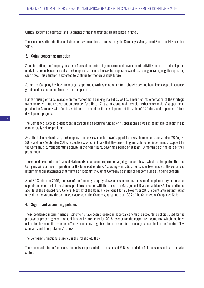Critical accounting estimates and judgments of the management are presented in Note 5.

These condensed interim financial statements were authorized for issue by the Company's Management Board on 14 November 2019.

#### 3. Going concern assumption

Since inception, the Company has been focused on performing research and development activities in order to develop and market its products commercially. The Company has incurred losses from operations and has been generating negative operating cash flows. This situation is expected to continue for the foreseeable future.

So far, the Company has been financing its operations with cash obtained from shareholder and bank loans, capital issuance, grants and cash obtained from distribution partners.

Further raising of funds available on the market, both banking market as well as a result of implementation of the strategic agreements with future distribution partners (see Note 17), use of grants and possible further shareholders' support shall provide the Company with funding sufficient to complete the development of its MabionCD20 drug and implement future development projects.

The Company's success is dependent in particular on securing funding of its operations as well as being able to register and commercially sell its products.

As at the balance-sheet date, the Company is in possession of letters of support from key shareholders, prepared on 28 August 2019 and on 2 September 2019, respectively, which indicate that they are willing and able to continue financial support for the Company's current operating activity in the near future, covering a period of at least 13 months as of the date of their preparation.

These condensed interim financial statements have been prepared on a going concern basis which contemplates that the Company will continue in operation for the foreseeable future. Accordingly, no adjustments have been made to the condensed interim financial statements that might be necessary should the Company be at risk of not continuing as a going concern.

As at 30 September 2019, the level of the Company's equity shows a loss exceeding the sum of supplementary and reserve capitals and one-third of the share capital. In connection with the above, the Management Board of Mabion S.A. included in the agenda of the Extraordinary General Meeting of the Company convened for 29 November 2019 a point anticipating taking a resolution regarding the continued existence of the Company, pursuant to art. 397 of the Commercial Companies Code.

# 4. Significant accounting policies

These condensed interim financial statements have been prepared in accordance with the accounting policies used for the purpose of preparing recent annual financial statements for 2018, except for the corporate income tax, which has been calculated based on the expected effective annual average tax rate and except for the changes described in the Chapter "New standards and interpretations" below.

The Company's functional currency is the Polish zloty (PLN).

The condensed interim financial statements are presented in thousands of PLN as rounded to full thousands, unless otherwise stated.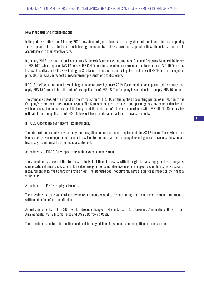#### New standards and interpretations

In the periods starting after 1 January 2019, new standards, amendments to existing standards and interpretations adopted by the European Union are in force. The following amendments to IFRSs have been applied in these financial statements in accordance with their effective dates:

In January 2016, the International Accounting Standards Board issued International Financial Reporting Standard 16 Leases ("IFRS 16"), which replaced IAS 17 Leases, IFRIC 4 Determining whether an agreement contains a lease, SIC 15 Operating Leases - Incentives and SIC 27 Evaluating the Substance of Transactions in the Legal Form of Lease. IFRS 16 sets out recognition principles for leases in respect of measurement, presentation and disclosure.

IFRS 16 is effective for annual periods beginning on or after 1 January 2019. Earlier application is permitted for entities that apply IFRS 15 from or before the date of first application of IFRS 16. The Company has not decided to apply IFRS 16 earlier.

The Company assessed the impact of the introduction of IFRS 16 on the applied accounting principles in relation to the Company's operations or its financial results. The Company has identified a current operating lease agreement that has not yet been recognised as a lease and that may meet the definition of a lease in accordance with IFRS 16. The Company has estimated that the application of IFRS 16 does not have a material impact on financial statements.

IFRIC 23 Uncertainty over Income Tax Treatments.

The Interpretation explains how to apply the recognition and measurement requirements in IAS 12 Income Taxes when there is uncertainty over recognition of income taxes. Due to the fact that the Company does not generate revenues, the standard has no significant impact on the financial statements.

Amendments to IFRS 9 Early repayments with negative compensation.

The amendments allow entities to measure individual financial assets with the right to early repayment with negative compensation at amortized cost or at fair value through other comprehensive income, if a specific condition is met - instead of measurement at fair value through profit or loss. The standard does not currently have a significant impact on the financial statements.

Amendments to IAS 19 Employee Benefits.

The amendments to the standard specify the requirements related to the accounting treatment of modifications, limitations or settlements of a defined benefit plan.

Annual amendments to IFRS 2015-2017 introduce changes to 4 standards: IFRS 3 Business Combinations, IFRS 11 Joint Arrangements, IAS 12 Income Taxes and IAS 23 Borrowing Costs.

The amendments contain clarifications and explain the guidelines for standards on recognition and measurement.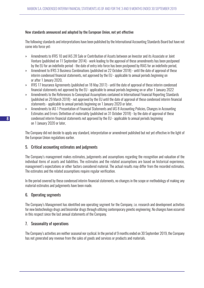#### New standards announced and adopted by the European Union, not yet effective

The following standards and interpretations have been published by the International Accounting Standards Board but have not come into force yet:

- » Amendments to IFRS 10 and IAS 28 Sale or Contribution of Assets between an Investor and its Associate or Joint Venture (published on 11 September 2014) - work leading to the approval of these amendments has been postponed by the EU for an indefinite period - the date of entry into force has been postponed by RIAS for an indefinite period,
- » Amendment to IFRS 3 Business Combinations (published on 22 October 2018) until the date of approval of these interim condensed financial statements, not approved by the EU - applicable to annual periods beginning on or after 1 January 2020,
- » IFRS 17 Insurance Agreements (published on 18 May 2017) until the date of approval of these interim condensed financial statements not approved by the EU - applicable to annual periods beginning on or after 1 January 2022
- » Amendments to the References to Conceptual Assumptions contained in International Financial Reporting Standards (published on 29 March 2018) - not approved by the EU until the date of approval of these condensed interim financial statements - applicable to annual periods beginning on 1 January 2020 or later,
- » Amendments to IAS 1 Presentation of Financial Statements and IAS 8 Accounting Policies, Changes in Accounting Estimates and Errors: Definition of materiality (published on 31 October 2018) - by the date of approval of these condensed interim financial statements not approved by the EU - applicable to annual periods beginning on 1 January 2020 or later,

The Company did not decide to apply any standard, interpretation or amendment published but not yet effective in the light of the European Union regulations earlier.

# 5. Critical accounting estimates and judgments

The Company's management makes estimates, judgements and assumptions regarding the recognition and valuation of the individual items of assets and liabilities. The estimates and the related assumptions are based on historical experience, management's expectations or other factors considered material. The actual results may differ from the recorded estimates. The estimates and the related assumptions require regular verification.

In the period covered by these condensed interim financial statements, no changes in the scope or methodology of making any material estimates and judgements have been made.

# 6. Operating segments

The Company's Management has identified one operating segment for the Company, i.e. research and development activities for new biotechnology drugs and biosimilar drugs through utilizing contemporary genetic engineering. No changes have occurred in this respect since the last annual statements of the Company.

# 7. Seasonality of operations

The Company's activities are neither seasonal nor cyclical. In the period of 9 months ended on 30 September 2019, the Company has not generated any revenue from the sales of goods and services or products and materials.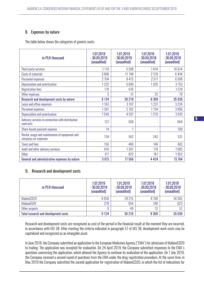# 8. Expenses by nature

The table below shows the categories of generic costs:

| in PLN thousand                                                        | 1.07.2019<br>$-30.09.2019$<br>(unaudited) | 1.01.2019<br>$-30.09.2019$<br>(unaudited) | 1.07.2018<br>$-30.09.2018$<br>(unaudited) | 1.01.2018<br>$-30.09.2018$<br>(unaudited) |
|------------------------------------------------------------------------|-------------------------------------------|-------------------------------------------|-------------------------------------------|-------------------------------------------|
| Third-party services                                                   | 1119                                      | 5598                                      | 1814                                      | 16614                                     |
| Costs of materials                                                     | 3896                                      | 11748                                     | 2570                                      | 6434                                      |
| Personnel expenses                                                     | 2704                                      | 8 4 7 5                                   | 2571                                      | 6589                                      |
| Depreciation and amortisation                                          | 1222                                      | 3690                                      | 1329                                      | 3753                                      |
| <b>Registration fees</b>                                               | 178                                       | 676                                       |                                           | 1570                                      |
| Other expenses                                                         | 5                                         | 31                                        | 25                                        | 79                                        |
| Research and development costs by nature                               | 9 1 2 4                                   | 30 218                                    | 8 3 0 9                                   | 35 039                                    |
| Lease and office expenses                                              | 1163                                      | 3707                                      | 1237                                      | 3 2 2 4                                   |
| Personnel expenses                                                     | 1597                                      | 5702                                      | 1154                                      | 3890                                      |
| Depreciation and amortisation                                          | 1549                                      | 4597                                      | 1279                                      | 3970                                      |
| Advisory services in connection with distribution<br>contracts         | 127                                       | 500                                       | ٠                                         | 664                                       |
| Share-based payment expense                                            | 14                                        |                                           | ۰                                         | 109                                       |
| Rental, usage and maintenance of equipment and<br>company car expenses | 134                                       | 562                                       | 242                                       | 531                                       |
| <b>Taxes and fees</b>                                                  | 156                                       | 468                                       | 146                                       | 462                                       |
| Audit and other advisory services                                      | 616                                       | 1207                                      | 179                                       | 1082                                      |
| <b>Other</b>                                                           | 317                                       | 822                                       | 187                                       | 1852                                      |
| General and administrative expenses by nature                          | 5 6 7 3                                   | 17566                                     | 4 4 2 4                                   | 15 784                                    |

# 9. Research and development costs

| in PLN thousand                             | 1.07.2019<br>$-30.09.2019$<br>(unaudited) | 1.01.2019<br>$-30.09.2019$<br>(unaudited) | 1.07.2018<br>$-30.09.2018$<br>(unaudited) | 1.01.2018<br>$-30.09.2018$<br>(unaudited) |
|---------------------------------------------|-------------------------------------------|-------------------------------------------|-------------------------------------------|-------------------------------------------|
| MabionCD20                                  | 8836                                      | 29 215                                    | 8 1 0 8                                   | 34 36 5                                   |
| <b>MabionEGFR</b>                           | 279                                       | 954                                       | 189                                       | 623                                       |
| Other projects                              | 9                                         | 49                                        | 12                                        | 51                                        |
| <b>Total research and development costs</b> | 9 1 2 4                                   | 30 218                                    | 8 3 0 9                                   | 35 039                                    |

Research and development costs are recognized as cost of the period in the financial result at the moment they are incurred, in accordance with IAS 38. After meeting the criteria indicated in paragraph 57 of IAS 38, development work costs may be capitalized and recognized as an intangible asset.

In June 2018, the Company submitted an application to the European Medicines Agency ("EMA") for admission of MabionCD20 to trading. The application was accepted for evaluation. On 24 April 2019, the Company submitted responses to the EMA's questions concerning the application, which allowed the Agency to continue its evaluation of the application. On 1 July 2019, the Company received a second round of questions from the EMA under the drug registration procedure. At the same time, in May 2019 the Company submitted the second application for registration of MabionCD20, in which the list of indications for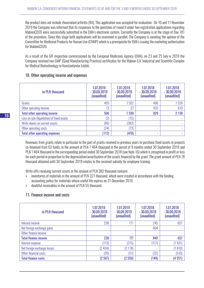the product does not include rheumatoid arthritis (RA). This application was accepted for evaluation. On 10 and 11 November 2019 the Company was informed that its responses to the questions of round II under two registration applications regarding MabionCD20 were successfully submitted in the EMA's electronic system. Currently the Company is at the stage of Day 181 of the procedure. Since this stage both applications will be examined in parallel. The Company is awaiting the opinion of the Committee for Medicinal Products for Human Use (CHMP) which is a prerequisite for EMA's issuing the marketing authorisation for MabionCD20.

As a result of the GIF inspection commissioned by the European Medicines Agency (EMA), on 23 and 25 July w 2019 the Company received two GMP (Good Manufacturing Practice) certificates for the Mabion S.A. Industrial and Scientific Complex for Medical Biotechnology in Konstantynów Łódzki.

#### 10. Other operating income and expenses

| in PLN thousand                            | 1.07.2019<br>$-30.09.2019$<br>(unaudited) | 1.01.2019<br>$-30.09.2019$<br>(unaudited) | 1.07.2018<br>$-30.09.2018$<br>(unaudited) | 1.01.2018<br>$-30.09.2018$<br>(unaudited) |
|--------------------------------------------|-------------------------------------------|-------------------------------------------|-------------------------------------------|-------------------------------------------|
| Grants                                     | 493                                       | 562                                       | 496                                       | 1520                                      |
| Other operating income                     | 13                                        | 37                                        | 433                                       | 610                                       |
| <b>Total other operating income</b>        | 506                                       | 1599                                      | 929                                       | 2 1 3 0                                   |
| Loss on sale (liquidation) of fixed assets | (2)                                       | (15)                                      | ٠                                         |                                           |
| Write-downs on current assets              | (86)                                      | (382)                                     | ٠                                         |                                           |
| Other operating costs                      | (24)                                      | (73)                                      | ٠                                         |                                           |
| <b>Total other operating expenses</b>      | (112)                                     | (470)                                     | $\sim$                                    |                                           |

Revenues from grants relate in particular to the part of grants received in previous years to purchase fixed assets in projects co-financed from EU funds, in the amount of PLN 1 464 thousand in the period of 9 months ended 30 September 2019 and PLN 1 464 thousand in the corresponding period ended 30 September 2018 (see Note 16) which is recognised in profit or loss for each period in proportion to the depreciation/amortisation of the assets financed by the grant. The grant amount of PLN 78 thousand obtained until 30 September 2019 relates to the received subsidy for employee training.

Write-offs revaluing current assets in the amount of PLN 382 thousand concern:

- » inventories of materials in the amount of PLN 327 thousand, which were created in accordance with the binding accounting policy for materials whose useful life expires on 31 December 2019.
- » doubtful receivables in the amount of PLN 55 thousand.

# 11. Finance income and costs

| in PLN thousand             | 1.07.2019<br>$-30.09.2019$<br>(unaudited) | 1.01.2019<br>$-30.09.2019$<br>(unaudited) | 1.07.2018<br>$-30.09.2018$<br>(unaudited) | 1.01.2018<br>$-30.09.2018$<br>(unaudited) |
|-----------------------------|-------------------------------------------|-------------------------------------------|-------------------------------------------|-------------------------------------------|
| Interest income             | 238                                       | 777                                       | 245                                       | 657                                       |
| Net foreign exchange gains  | ٠                                         | $\overline{\phantom{a}}$                  | 604                                       |                                           |
| Other finance income        | ٠                                         | ٠                                         | ٠                                         |                                           |
| <b>Total finance income</b> | 238                                       | 777                                       | 849                                       | 657                                       |
| Interest expense            | (113)                                     | (315)                                     | (117)                                     | (1931)                                    |
| Net foreign exchange losses | (2434)                                    | (2178)                                    | ٠                                         | (1810)                                    |
| Other financial costs       | (20)                                      | [57]                                      | (32)                                      | (510)                                     |
| <b>Total finance costs</b>  | (2567)                                    | (2550)                                    | (149)                                     | (4251)                                    |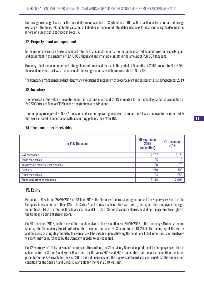Net foreign exchange losses for the period of 9 months ended 30 September 2019 result in particular from unrealized foreign exchange differences related to the valuation of liabilities on account of refundable advances for distribution rights denominated in foreign currencies, described in Note 17.

#### 12. Property, plant and equipment

In the period covered by these condensed interim financial statements the Company incurred expenditures on property, plant and equipment in the amount of PLN 6 888 thousand and intangible assets in the amount of PLN 867 thousand.

Property, plant and equipment and intangible assets released for use in the period of 9 months of 2019 amount to PLN 3 980 thousand, of which part was financed under lease agreements, which are presented in Note 19.

The Company's Management did not identify any indications of impairment of property, plant and equipment as at 30 September 2019.

#### 13. Inventory

The decrease in the value of inventories in the first nine months of 2019 is related to the technological batch production of 2x2 500 litres of MabionCD20 at the Konstantynów Łódzki plant.

The Company recognized PLN 327 thousand under other operating expenses as impairment losses on inventories of materials that were created in accordance with accounting policies (see Note 10).

#### 14. Trade and other receivables

| in PLN thousand                    | <b>30 September</b><br>2019<br>(unaudited) | 31 December<br>2018 |
|------------------------------------|--------------------------------------------|---------------------|
| VAT receivable                     | 2 7 3 7                                    | 2 1 7 1             |
| <b>Trade receivables</b>           | 25                                         |                     |
| Advances on materials and services | 80                                         | 70                  |
| <b>Deposits</b>                    | 218                                        | 108                 |
| Other receivables                  | 84                                         | 250                 |
| <b>Trade and other receivables</b> | 3 1 4 4                                    | 2606                |

# 15. Equity

Pursuant to Resolution 25/VI/2018 of 28 June 2018, the Ordinary General Meeting authorised the Supervisory Board of the Company to issue no more than 125 000 Series A and Series B subscription warrants, granting entitled employees the right to purchase 114 000 of Series R ordinary shares and 11 000 of Series S ordinary shares, excluding the pre-emptive rights of the Company's current shareholders.

On 29 December 2018, on the basis of the mandate given in the Resolution No. 24/VI/2018 of the Company's Ordinary General Meeting, the Supervisory Board authorised the Terms of the Incentive Scheme for 2018-2021. The taking-up of the shares and the exercise of rights granted by the warrants will be possible upon satisfying the conditions listed in the Terms. Alternatively, warrants may be purchased by the Company in order to be redeemed.

On 12 February 2019, by passing of the relevant Resolutions, the Supervisory Board accepted the list of employees entitled to subscribe for the Series A and Series B warrants for the years 2018 and 2019, and stated that the market condition (minimum price) for Series A warrants for the year 2018 has not been reached. The Supervisory Board also confirmed that the employment condition for the Series A and Series B warrants for the year 2018 was met.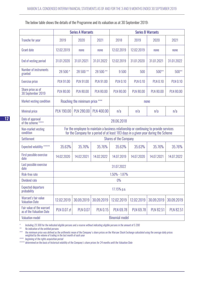|                                                       | <b>Series A Warrants</b> |                                |                                                                                                                                                                               | <b>Series B Warrants</b>     |                  |                  |                  |
|-------------------------------------------------------|--------------------------|--------------------------------|-------------------------------------------------------------------------------------------------------------------------------------------------------------------------------|------------------------------|------------------|------------------|------------------|
| <b>Tranche for year</b>                               | 2019                     | 2020                           | 2021                                                                                                                                                                          | 2018                         | 2019             | 2020             | 2021             |
| <b>Grant date</b>                                     | 12.02.2019               | none                           | none                                                                                                                                                                          | 12.02.2019                   | 12.02.2019       | none             | none             |
| End of vesting period                                 | 31.01.2020               | 31.01.2021                     | 31.01.2022                                                                                                                                                                    | 12.02.2019                   | 31.01.2020       | 31.01.2021       | 31.01.2022       |
| Number of instruments<br>granted                      | 28 500 *                 | 28 500 **                      | 28 500 **                                                                                                                                                                     | 9500                         | 500              | $500**$          | 500**            |
| <b>Exercise price</b>                                 | <b>PLN 91.00</b>         | <b>PLN 91.00</b>               | <b>PLN 91.00</b>                                                                                                                                                              | <b>PLN 0.10</b>              | <b>PLN 0.10</b>  | <b>PLN 0.10</b>  | <b>PLN 0.10</b>  |
| Share price as of<br>30 September 2019                | <b>PLN 80.00</b>         | <b>PLN 80.00</b>               | <b>PLN 80.00</b>                                                                                                                                                              | <b>PLN 80.00</b>             | <b>PLN 80.00</b> | <b>PLN 80.00</b> | <b>PLN 80.00</b> |
| Market vesting condition                              |                          | Reaching the minimum price *** |                                                                                                                                                                               |                              |                  | none             |                  |
| <b>Minimal price</b>                                  | <b>PLN 190.00</b>        | <b>PLN 280.00</b>              | <b>PLN 400.00</b>                                                                                                                                                             | n/a                          | n/a              | n/a              | n/a              |
| Date of approval<br>of the scheme ****                |                          |                                |                                                                                                                                                                               | 28.06.2018                   |                  |                  |                  |
| Non-market vesting<br>condition                       |                          |                                | For the employee to maintain a business relationship or continuing to provide services<br>for the Company for a period of at least 183 days in a given year during the Scheme |                              |                  |                  |                  |
| <b>Settlement</b>                                     |                          |                                |                                                                                                                                                                               | <b>Shares of the Company</b> |                  |                  |                  |
| Expected volatility *****                             | 35.63%                   | 35.76%                         | 35.76%                                                                                                                                                                        | 35.63%                       | 35.63%           | 35.76%           | 35.76%           |
| First possible exercise<br>date                       | 14.02.2020               | 14.02.2021                     | 14.02.2022                                                                                                                                                                    | 14.07.2019                   | 14.07.2020       | 14.07.2021       | 14.07.2022       |
| Last possible exercise<br>date                        |                          |                                |                                                                                                                                                                               | 31.07.2022                   |                  |                  |                  |
| Risk-free rate                                        |                          |                                |                                                                                                                                                                               | 1.50% - 1.87%                |                  |                  |                  |
| <b>Dividend rate</b>                                  |                          |                                |                                                                                                                                                                               | $0\%$                        |                  |                  |                  |
| <b>Expected departure</b><br>probability              |                          |                                |                                                                                                                                                                               | 17.15% p.a.                  |                  |                  |                  |
| Warrant's fair value<br><b>Valuation Date</b>         | 12.02.2019               | 30.09.2019                     | 30.09.2019                                                                                                                                                                    | 12.02.2019                   | 12.02.2019       | 30.09.2019       | 30.09.2019       |
| Fair value of the warrant<br>as of the Valuation Date | <b>PLN 0.07 zł</b>       | <b>PLN 0.07</b>                | <b>PLN 0.15</b>                                                                                                                                                               | <b>PLN 69.78</b>             | <b>PLN 69.78</b> | <b>PLN 82.51</b> | <b>PLN 82.51</b> |
| <b>Valuation model</b>                                | <b>Binomial model</b>    |                                |                                                                                                                                                                               |                              |                  |                  |                  |

*\* Including 23 300 for the indicated eligible persons and a reserve without indicating eligible persons in the amount of 5 200*

*\*\* No indication of the entitled persons*

*\*\*\* the minimum price was defined as the arithmetic mean of the Company's share prices on the Warsaw Stock Exchange calculated using the average daily prices weighted by the volume of trading in the last month of each year*

*\*\*\*\* beginning of the rights acquisition period*

*\*\*\*\*\* determined on the basis of historical volatility of the Company's share prices for 24 months until the Valuation Date*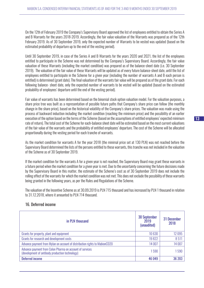On the 12th of February 2019 the Company's Supervisory Board approved the list of employees entitled to obtain the Series A and B Warrants for the years 2018-2019. Accordingly, the fair value valuation of the Warrants was prepared as of the 12th February 2019. As of 30 September 2019, only the expected number of Warrants to be vested was updated (based on the estimated probability of departure up to the end of the vesting period).

Until 30 September 2019, in case of the Series A and B Warrants for the years 2020 and 2021, the list of the employees entitled to participate in the Scheme was not determined by the Company's Supervisory Board. Accordingly, the fair value valuation of these Warrants (including the market condition) was prepared as of the balance-sheet date (i.e. 30 September 2019). The valuation of the fair value of these Warrants will be updated as of every future balance-sheet date, until the list of employees entitled to participate in the Scheme for a given year (including the number of warrants A and B each person is entitled) is determined (grant date). The final valuation of the warrants fair value will be prepared as of the grant date. For each following balance- sheet date, only the expected number of warrants to be vested will be updated (based on the estimated probability of employees' departure until the end of the vesting period).

Fair value of warrants has been determined based on the binomial stock option valuation model. For the valuation purposes, a share price tree was built as a representation of possible future paths that Company's share price can follow (the monthly change in the share price), based on the historical volatility of the Company's share prices. The valuation was made using the process of backward induction including the market condition (reaching the minimum price) and the possibility of an earlier execution of the option based on the terms of the Scheme (based on the assumptions of entitled employees' expected minimum rate of return). The total cost of the Scheme for each-balance sheet date will be estimated based on the most current valuations of the fair value of the warrants and the probability of entitled employees' departure. The cost of the Scheme will be allocated proportionally during the vesting period for each tranche of warrants.

As the market condition for warrants A for the year 2018 (the minimal price set at 130 PLN) was not reached before the Supervisory Board determined the lists of the persons entitled to these warrants, this tranche was not included in the valuation of the Scheme as of 30 September 2019.

If the market condition for the warrants A for a given year is not reached, the Supervisory Board may grant these warrants in a future period when the market condition for a given year is met. Due to the uncertainty concerning the future decisions made by the Supervisory Board in this matter, the estimate of the Scheme's cost as of 30 September 2019 does not include the rolling effect of the warrants for which the market condition was not met. This does not exclude the possibility of these warrants being granted in the following years, as per the Rules and Regulations of the Scheme.

The valuation of the Incentive Scheme as at 30.09.2019 is PLN 715 thousand and has increased by PLN 1 thousand in relation to 31.12.2018, where it amounted to PLN 714 thousand.

| in PLN thousand                                                                                             | <b>30 September</b><br>2019<br>(unaudited) | 31 December<br>2018 |
|-------------------------------------------------------------------------------------------------------------|--------------------------------------------|---------------------|
| Grants for property, plant and equipment                                                                    | 10 630                                     | 12 0 95             |
| Grants for research and development costs                                                                   | 19822                                      | 8511                |
| Advance payment from Mylan on account of distribution rights to MabionCD20                                  | 14 007                                     | 14 007              |
| Advance payment from Celon Pharma on account of services<br>(development of antibody production technology) | 1590                                       | 590                 |
| <b>Deferred income</b>                                                                                      | 46 049                                     | 36 203              |

# 16. Deferred income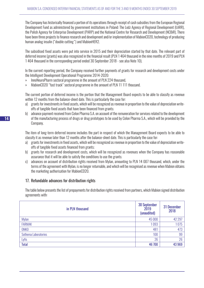The Company has historically financed a portion of its operations through receipt of cash subsidies from the European Regional Development Fund as administered by government institutions in Poland: The Lodz Agency of Regional Development (ŁARR), the Polish Agency for Enterprise Development (PARP) and the National Centre for Research and Development (NCBiR). There have been three projects to finance research and development and/or implementation of MabionCD20, technology of producing human analog insulin ("double cutting") and MabionHER2.

The subsidised fixed assets were put into service in 2015 and their depreciation started by that date. The relevant part of deferred income (grants) was also recognized in the financial result (PLN 1 464 thousand in the nine months of 2019 and PLN 1 464 thousand in the corresponding period ended 30 September 2018 - see also Note 10).

In the current reporting period, the Company received further payments of grants for research and development costs under the Intelligent Development Operational Programme 2014-2020:

- » InnoNeuroPharm sectoral programme in the amount of PLN 224 thousand,
- » MabionCD20 "fast track" sectoral programme in the amount of PLN 11 111 thousand.

The current portion of deferred income is the portion that the Management Board expects to be able to classify as revenue within 12 months from the balance-sheet date. This is particularly the case for:

- a) grants for investments in fixed assets, which will be recognized as revenue in proportion to the value of depreciation writeoffs of tangible fixed assets that have been financed from grants;
- b) advance payment received from Celon Pharma S.A. on account of the remuneration for services related to the development of the manufacturing process of drugs or drug prototypes to be used by Celon Pharma S.A., which will be provided by the Company.

The item of long-term deferred income includes the part in respect of which the Management Board expects to be able to classify it as revenue later than 12 months after the balance-sheet date. This is particularly the case for:

- a) grants for investments in fixed assets, which will be recognized as revenue in proportion to the value of depreciation writeoffs of tangible fixed assets financed from grants;
- b) grants for research and development costs, which will be recognized as revenues when the Company has reasonable assurance that it will be able to satisfy the conditions to use the grants;
- c) advances on account of distribution rights received from Mylan, amounting to PLN 14 007 thousand, which, under the terms of the agreement with Mylan, is no longer returnable, and which will be recognised as revenue when Mabion obtains the marketing authorisation for MabionCD20.

# 17. Refundable advances for distribution rights

The table below presents the list of prepayments for distribution rights received from partners, which Mabion signed distribution agreements with:

| in PLN thousand      | 30 September<br>2019<br>(unaudited) | 31 December<br>2018 |
|----------------------|-------------------------------------|---------------------|
| <b>Mylan</b>         | 45 000                              | 42 297              |
| <b>FARMAK</b>        | 1093                                | 1075                |
| <b>ONKO</b>          | 481                                 | 473                 |
| Sothema Laboratories | 100                                 | 99                  |
| Lyfis                | 26                                  | 26                  |
| <b>Total</b>         | 46 700                              | 43 969              |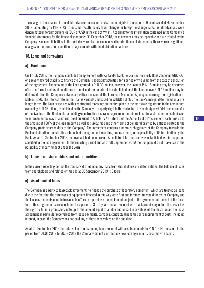The change in the balance of refundable advances on account of distribution rights in the period of 9 months ended 30 September 2019, amounting to PLN 2 731 thousand, results solely from changes in foreign exchange rates, as all advances were denominated in foreign currencies (EUR or USD in the case of Mylan). According to the information contained in the Company's financial statements for the financial year ended 31 December 2018, these advances may be repayable and are treated by the Company as current liabilities. In the period covered by these condensed interim financial statements, there were no significant changes in the terms and conditions of agreements with the distribution partners.

# 18. Loans and borrowings

#### a) Bank loans

On 17 July 2018, the Company concluded an agreement with Santander Bank Polska S.A. (formerly Bank Zachodni WBK S.A.) on a revolving credit facility to finance the Company's operating activities, for a period of two years from the date of conclusion of the agreement. The amount of the Loan granted is PLN 30 million, however, the Loan of PLN 15 million may be disbursed after the formal and legal conditions are met and the collateral is established, and the Loan above PLN 15 million may be disbursed after the Company obtains a positive decision of the European Medicines Agency concerning the registration of MabionCD20. The interest rate on the Loan is variable and based on WIBOR 1M plus the Bank's margin determined on arm's length terms. The Loan is secured with a contractual mortgage on the first place in the mortgage register up to the amount not exceeding PLN 45 million, established on the Company's property right to the real estate in Konstantynów Łódzki and a transfer of receivables to the Bank under a building/construction insurance agreement on this real estate, a statement on submission to enforcement by way of a notarial deed pursuant to Article 777 § 1 item 5 of the Act on Public Procurement, each time up to the amount of 150% of the loan amount as well as suretyships and other forms of collateral granted by entities related to the Company (main shareholders of the Company). The agreement contains numerous obligations of the Company towards the Bank and situations constituting a breach of the agreement resulting, among others, in the possibility of its termination by the Bank. As at 30 September 2019, no covenant had been broken. All collateral for the Loan was established within the period specified in the loan agreement. In the reporting period and as at 30 September 2019 the Company did not make use of the possibility of incurring debt under the Loan.

# b) Loans from shareholders and related entities

In the current reporting period, the Company did not incur any loans from shareholders or related entities. The balance of loans from shareholders and related entities as at 30 September 2019 is 0 (zero).

# c) Asset-backed loans

The Company is a party to leaseback agreements to finance the purchase of laboratory equipment, which are treated as loans due to the fact that the purchases of equipment financed in this way were first and foremost fully paid for by the Company and the lease agreements contain irrevocable offers to repurchase the equipment subject to the agreement at the end of the lease term. These agreements are concluded for a period of 3 to 4 years and are secured with blank promissory notes. The lessor has the right to fill in a promissory note up to the amount equal to all due and unpaid receivables of the lessor under the lease agreement, in particular receivables from lease payments, damages, contractual penalties or reimbursement of costs, including interest, in case the Company has not paid any of these receivables on the due date.

As at 30 September 2019 the total value of outstanding loans secured with assets amounts to PLN 1 614 thousand. In the period from 01.01.2019 to 30.09.2019 the Company did not contract any new loan agreements secured with assets.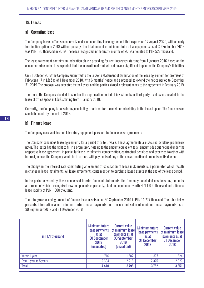#### 19. Leases

#### a) Operating lease

The Company leases office space in Łódź under an operating lease agreement that expires on 17 August 2020, with an early termination option in 2018 without penalty. The total amount of minimum future lease payments as at 30 September 2019 was PLN 180 thousand in 2019. The lease recognized in the first 9 months of 2019 amounted to PLN 528 thousand.

The lease agreement contains an indexation clause providing for rent increases starting from 1 January 2016 based on the consumer price index. It is expected that the indexation of rent will not have a significant impact on the Company's liabilities.

On 31 October 2018 the Company submitted to the Lessor a statement of termination of the lease agreement for premises at Fabryczna 17 in Łódź as of 1 November 2018, with 6 months' notice and a proposal to extend the notice period to December 31, 2019. The proposal was accepted by the Lessor and the parties signed a relevant annex to the agreement in February 2019.

Therefore, the Company decided to shorten the depreciation period of investments in third-party fixed assets related to the lease of office space in Łódź, starting from 1 January 2018.

Currently, the Company is considering concluding a contract for the next period relating to the leased space. The final decision should be made by the end of 2019.

#### b) Finance lease

The Company uses vehicles and laboratory equipment pursuant to finance lease agreements.

The Company concludes lease agreements for a period of 3 to 5 years. These agreements are secured by blank promissory notes. The lessor has the right to fill in a promissory note up to the amount equivalent to all amounts due but not paid under the respective lease agreement, in particular lease instalments, compensation, contractual penalties and expenses together with interest, in case the Company would be in arrears with payments of any of the above-mentioned amounts on its due date.

The change in the interest rate constituting an element of calculation of lease instalments is a parameter which results in change in lease instalments. All lease agreements contain option to purchase leased assets at the end of the lease period.

In the period covered by these condensed interim financial statements, the Company concluded new lease agreements, as a result of which it recognized new components of property, plant and equipment worth PLN 1 600 thousand and a finance lease liability of PLN 1 600 thousand.

The total gross carrying amount of finance lease assets as at 30 September 2019 is PLN 11 777 thousand. The table below presents information about minimum future lease payments and the current value of minimum lease payments as at 30 September 2019 and 31 December 2018.

| in PLN thousand        | <b>Minimum future</b><br>lease payments<br>as at<br><b>30 September</b><br>2019<br>(unaudited) | <b>Current value</b><br>of minimum lease<br>payments as at<br><b>30 September</b><br>2019<br>(unaudited) | <b>Minimum future</b><br>lease payments<br>as at<br>31 December<br>2018 | <b>Current value</b><br>of minimum lease<br>payments as at<br>31 December<br>2018 |
|------------------------|------------------------------------------------------------------------------------------------|----------------------------------------------------------------------------------------------------------|-------------------------------------------------------------------------|-----------------------------------------------------------------------------------|
| Within 1 year          | 1716                                                                                           | 1582                                                                                                     | 1377                                                                    | 1324                                                                              |
| From 1 year to 5 years | 2694                                                                                           | 2 2 1 6                                                                                                  | 2 3 7 5                                                                 | 2027                                                                              |
| <b>Total</b>           | 4410                                                                                           | 3798                                                                                                     | 3752                                                                    | 3 3 5 1                                                                           |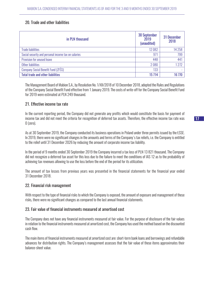# 20. Trade and other liabilities

| in PLN thousand                                     | <b>30 September</b><br>2019<br>(unaudited) | 31 December<br>2018 |
|-----------------------------------------------------|--------------------------------------------|---------------------|
| <b>Trade liabilities</b>                            | 12082                                      | 14 2 5 8            |
| Social security and personal income tax on salaries | 971                                        | 799                 |
| Provision for unused leave                          | 448                                        | 441                 |
| Other liabilities                                   | 2080                                       | 1272                |
| <b>Company Social Benefit Fund (ZFSS)</b>           | 133                                        |                     |
| <b>Total trade and other liabilities</b>            | 15 7 14                                    | 16 770              |

The Management Board of Mabion S.A., by Resolution No. 1/XII/2018 of 10 December 2018, adopted the Rules and Regulations of the Company Social Benefit Fund effective from 1 January 2019. The costs of write-off for the Company Social Benefit Fund for 2019 were estimated at PLN 249 thousand.

#### 21. Effective income tax rate

In the current reporting period, the Company did not generate any profits which would constitute the basis for payment of income tax and did not meet the criteria for recognition of deferred tax assets. Therefore, the effective income tax rate was 0 (zero).

As at 30 September 2019, the Company conducted its business operations in Poland under three permits issued by the ŁSSE. In 2019, there were no significant changes in the amounts and terms of the Company's tax reliefs, i.e. the Company is entitled to the relief until 31 December 2026 by reducing the amount of corporate income tax liability.

In the period of 9 months ended 30 September 2019 the Company incurred a tax loss of PLN 13 821 thousand. The Company did not recognize a deferred tax asset for this loss due to the failure to meet the conditions of IAS 12 as to the probability of achieving tax revenues allowing to use the loss before the end of the period for its utilization.

The amount of tax losses from previous years was presented in the financial statements for the financial year ended 31 December 2018.

#### 22. Financial risk management

With respect to the type of financial risks to which the Company is exposed, the amount of exposure and management of these risks, there were no significant changes as compared to the last annual financial statements.

#### 23. Fair value of financial instruments measured at amortised cost

The Company does not have any financial instruments measured at fair value. For the purpose of disclosure of the fair values in relation to the financial instruments measured at amortized cost, the Company has used the method based on the discounted cash flow.

The main items of financial instruments measured at amortized cost are: short-term bank loans and borrowings and refundable advances for distribution rights. The Company's management assesses that the fair value of these items approximates their balance-sheet value.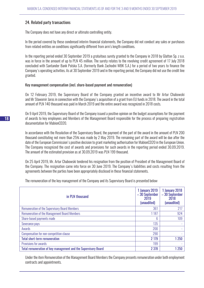# 24. Related party transactions

The Company does not have any direct or ultimate controlling entity.

In the period covered by these condensed interim financial statements, the Company did not conduct any sales or purchases from related entities on conditions significantly different from arm's length conditions.

In the reporting period ended 30 September 2019 a gratuitous surety granted to the Company in 2018 by Glatton Sp. z o.o. was in force in the amount of up to PLN 45 million. The surety relates to the revolving credit agreement of 17 July 2018 concluded with Santander Bank Polska S.A. (formerly Bank Zachodni WBK S.A.) for a period of two years to finance the Company's operating activities. As at 30 September 2019 and in the reporting period, the Company did not use the credit line granted.

#### Key management compensation (incl. share-based payment and remuneration)

On 12 February 2019, the Supervisory Board of the Company granted an incentive award to Mr Artur Chabowski and Mr Sławomir Jaros in connection with the Company's acquisition of a grant from EU funds in 2018. The award in the total amount of PLN 140 thousand was paid in March 2019 and the entire award was recognized in 2018 costs.

On 9 April 2019, the Supervisory Board of the Company issued a positive opinion on the budget assumptions for the payment of awards to key employees and Members of the Management Board responsible for the process of preparing registration documentation for MabionCD20.

In accordance with the Resolution of the Supervisory Board, the payment of the part of the award in the amount of PLN 200 thousand constituting not more than 25% was made by 2 May 2019. The remaining part of the award will be due after the date of the European Commission's positive decision to grant marketing authorisation for MabionCD20 in the European Union. The Company recognized the cost of awards and provisions for such awards in the reporting period ended 30.09.2019. The amount of the estimated provision as at 30.09.2019 was PLN 199 thousand.

On 25 April 2019, Mr. Artur Chabowski tendered his resignation from the position of President of the Management Board of the Company. The resignation came into force on 30 June 2019. The Company's liabilities and costs resulting from the agreements between the parties have been appropriately disclosed in these financial statements.

The remuneration of the key management of the Company and its Supervisory Board is presented below:

| in PLN thousand                                                | 1 January 2019<br>-30 September<br>2019<br>(unaudited) | 1 January 2018<br>-30 September<br>2018<br>(unaudited) |
|----------------------------------------------------------------|--------------------------------------------------------|--------------------------------------------------------|
| <b>Remuneration of the Supervisory Board Members</b>           | 361                                                    | 217                                                    |
| <b>Remuneration of the Management Board Members</b>            | 1 1 8 7                                                | 924                                                    |
| Share-based payments made                                      | 6                                                      | 109                                                    |
| Severance pays                                                 | 135                                                    |                                                        |
| Awards                                                         | 200                                                    |                                                        |
| Compensation for non-competition clause                        | 290                                                    |                                                        |
| <b>Total short-term remuneration</b>                           | 2 1 7 9                                                | 1 2 5 0                                                |
| Provisions for awards                                          | 199                                                    |                                                        |
| Total remuneration of key management and the Supervisory Board | 2 3 7 8                                                | 250                                                    |

Under the item Remuneration of the Management Board Members the Company presents remuneration under both employment contracts and appointments.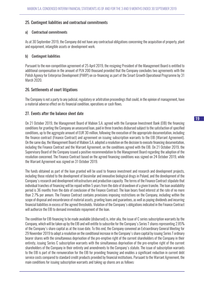#### 25. Contingent liabilities and contractual commitments

#### a) Contractual commitments

As at 30 September 2019, the Company did not have any contractual obligations concerning the acquisition of property, plant and equipment, intangible assets or development work.

#### b) Contingent liabilities

Pursuant to the non-competition agreement of 25 April 2019, the resigning President of the Management Board is entitled to additional compensation in the amount of PLN 200 thousand provided that the Company concludes two agreements with the Polish Agency for Enterprise Development (PARP) on co-financing as part of the Smart Growth Operational Programme by 31 March 2020.

#### 26. Settlements of court litigations

The Company is not a party to any judicial, regulatory or arbitration proceedings that could, in the opinion of management, have a material adverse effect on its financial condition, operations or cash flows.

#### 27. Events after the balance sheet date

On 21 October 2019, the Management Board of Mabion S.A. agreed with the European Investment Bank (EIB) the financing conditions for granting the Company an unsecured loan, paid in three tranches disbursed subject to the satisfaction of specified conditions, up to the aggregate amount of EUR 30 million, following the execution of the appropriate documentation, including the finance contract (Finance Contract) and agreement on issuing subscription warrants to the EIB (Warrant Agreement). On the same day, the Management Board of Mabion S.A. adopted a resolution on the decision to execute financing documentation, including the Finance Contract and the Warrant Agreement, on the conditions agreed with the EIB. On 21 October 2019, the Supervisory Board of the Company issued a positive recommendation to the Management Board regarding the adoption of the resolution concerned. The Finance Contract based on the agreed financing conditions was signed on 24 October 2019, while the Warrant Agreement was signed on 31 October 2019.

The funds obtained as part of the loan granted will be used to finance investment and research and development projects, including those related to the development of biosimilar and innovative biological drugs in Poland, and the development of the Company's research and development infrastructure and production capacity. The terms of the Finance Contract stipulate that individual tranches of financing will be repaid within 5 years from the date of drawdown of a given tranche. The loan availability period is 36 months from the date of conclusion of the Finance Contract. The loan bears fixed interest at the rate of no more than 2.7% per annum. The Finance Contract contains provisions imposing restrictions on the Company, including within the scope of disposal and encumbrance of material assets, granting loans and guarantees, as well as paying dividends and incurring financial liabilities in excess of the agreed thresholds. Violation of the Company's obligations indicated in the Finance Contract will authorize the EIB to demand immediate repayment of the loan.

The condition for EIB financing to be made available (disbursed) is, inter alia, the issue of C series subscription warrants by the Company, which will be taken up by the EIB and will entitle to subscribe for the Company's Series T shares representing 2.85% of the Company's share capital as at the issue date. To this end, the Company convened an Extraordinary General Meeting for 29 November 2019 to adopt a resolution on the conditional increase in the Company's share capital by issuing Series T ordinary bearer shares with the simultaneous deprivation of the pre-emptive right of the current shareholders of the Company in their entirety, issuing Series C subscription warrants with the simultaneous deprivation of the pre-emptive right of the current shareholders of the Company in their entirety and amendments to the Company's statute. The issue of subscription warrants to the EIB is part of the remuneration for the EIB for providing financing and enables a significant reduction in current debt service costs compared to standard credit products provided by financial institutions. Pursuant to the Warrant Agreement, the main conditions for issuing subscription warrants and taking up shares are as follows: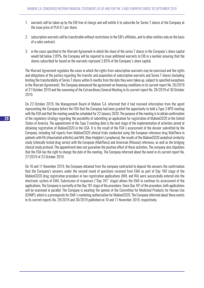- 1. warrants will be taken up by the EIB free of charge and will entitle it to subscribe for Series T shares of the Company at the issue price of PLN 0.1 per share;
- 2. subscription warrants will be transferable without restrictions to the EIB's affiliates, and to other entities only on the basis of a sales contract;
- 3. in the cases specified in the Warrant Agreement in which the share of the series T shares in the Company's share capital would fall below 2.85%, the Company will be required to issue additional warrants to EIB in a number ensuring that the shares subscribed for based on the warrants represent 2.85% of the Company's share capital.

The Warrant Agreement regulates the cases in which the rights from subscription warrants may be exercised and the rights and obligations of the parties regarding the transfer and acquisition of subscription warrants and Series T shares (including limiting the transferability of Series T shares within 6 months from the date they were taken up, subject to specified exceptions in the Warrant Agreement). The Company announced the agreement on financing conditions in its current report No. 26/2019 of 21 October 2019 and the convening of the Extraordinary General Meeting in its current report No. 28/2019 of 30 October 2019.

On 23 October 2019, the Management Board of Mabion S.A. informed that it had received information from the agent representing the Company before the FDA that the Company had been granted the opportunity to hold a Type 3 BPD meeting with the FDA and that the meeting would be scheduled for 22 January 2020. The purpose of the meeting is to obtain confirmation of the regulatory strategy regarding the possibility of submitting an application for registration of MabionCD20 in the United States of America. The appointment of the Type 3 meeting date is the next stage of the implementation of activities aimed at obtaining registration of MabionCD20 in the USA. It is the result of the FDA's assessment of the dossier submitted by the Company, including full reports from MabionCD20 clinical trials conducted using the European reference drug MabThera in patients with RA (rheumatoid arthritis) and NHL (Non-Hodgkin's Lymphoma), the results of the MabionCD20 analytical similarity study (clinically tested drug series) with the European (MabThera) and American (Rituxan) reference, as well as the bridging clinical study protocol. The appointment does not guarantee the positive effect of these activities. The company also stipulates that the FDA has the right to change the date of the meeting. The Company informed about the event in its current report No. 27/2019 of 23 October 2019.

On 10 and 11 November 2019, the Company obtained from the company contracted to deposit the answers the confirmation that the Company's answers under the second round of questions received from EMA as part of Day 180 stage of the MabionCD20 drug registration procedure in two registration applications (NHL and RA) were successfully entered into the electronic system of EMA. Submission of responses ("Day 181" stage) allows the EMA to continue its assessment of the applications. The Company is currently at the Day 181 stage of the procedure. Since Day 181 of the procedure, both applications will be examined in parallel. The Company is awaiting the opinion of the Committee for Medicinal Products for Human Use (CHMP), which is a prerequisite for EMA's marketing authorization for MabionCD20. The Company informed about these events in its current reports No. 29/2019 and 30/2019 published on 10 and 11 November 2019, respectively.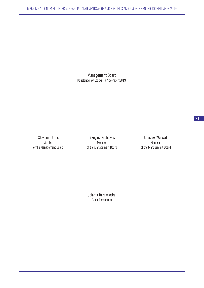Management Board Konstantynów Łódzki, 14 November 2019.

Sławomir Jaros **Grzegorz Grabowicz** Grabowicz Jarosław Walczak Member Member Member of the Management Board of the Management Board of the Management Board

Jolanta Baranowska Chief Accountant